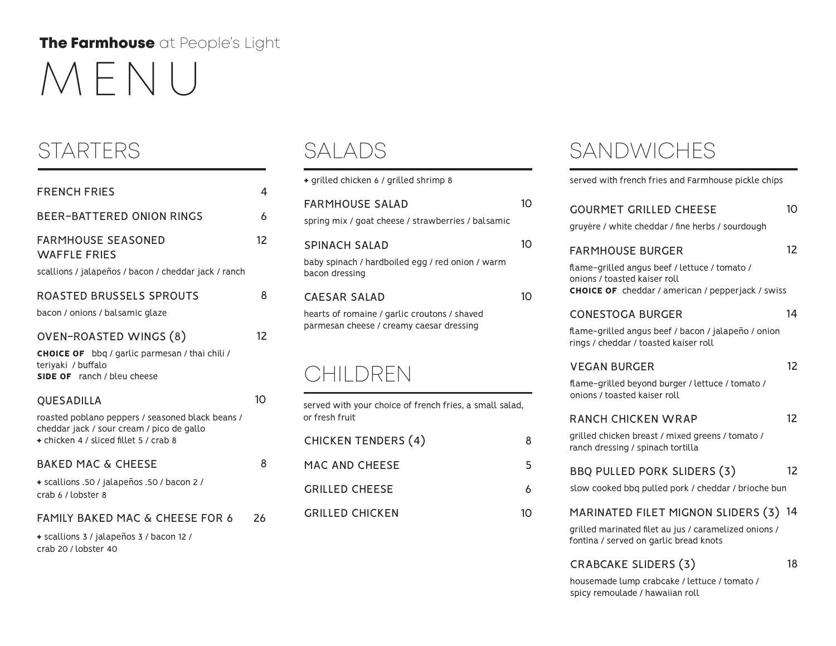## MENU The Farmhouse at People's Light

| <b>FRENCH FRIES</b>                                                                                                                                   | 4  |
|-------------------------------------------------------------------------------------------------------------------------------------------------------|----|
| <b>BEER-BATTERED ONION RINGS</b>                                                                                                                      | 6  |
| <b>FARMHOUSE SEASONED</b><br><b>WAFFLE FRIES</b><br>scallions / jalapeños / bacon / cheddar jack / ranch                                              | 12 |
| ROASTED BRUSSELS SPROUTS<br>bacon / onions / balsamic glaze                                                                                           | 8  |
| OVEN-ROASTED WINGS (8)<br><b>CHOICE OF</b> bbq / garlic parmesan / thai chili /<br>teriyaki / buffalo<br>SIDE OF ranch / bleu cheese                  | 12 |
| QUESADILLA<br>roasted poblano peppers / seasoned black beans /<br>cheddar jack / sour cream / pico de gallo<br>+ chicken 4 / sliced fillet 5 / crab 8 | 10 |
| <b>BAKED MAC &amp; CHEESE</b><br>+ scallions .50 / jalapeños .50 / bacon 2 /<br>crab 6 / lobster 8                                                    | 8  |
| <b>FAMILY BAKED MAC &amp; CHEESE FOR 6</b><br>+ scallions 3 / jalapeños 3 / bacon 12 /<br>crab 20 / lobster 40                                        | 26 |

| + grilled chicken 6 / grilled shrimp 8                                                                   |    |
|----------------------------------------------------------------------------------------------------------|----|
| FARMHOUSE SALAD<br>spring mix / goat cheese / strawberries / balsamic                                    | 10 |
| <b>SPINACH SALAD</b><br>baby spinach / hardboiled egg / red onion / warm<br>bacon dressing               | 10 |
| CAESAR SALAD<br>hearts of romaine / garlic croutons / shaved<br>parmesan cheese / creamy caesar dressing |    |
| :HILDREN                                                                                                 |    |

| served with your choice of french fries, a small salad,<br>or fresh fruit |   |
|---------------------------------------------------------------------------|---|
| <b>CHICKEN TENDERS (4)</b>                                                | 8 |
| MAC AND CHEESE                                                            | 5 |
| <b>GRILLED CHEESE</b>                                                     | 6 |
| <b>GRILLED CHICKEN</b>                                                    |   |

### STARTERS SALADS SANDWICHES

| + grilled chicken 6 / grilled shrimp 8                                                                     |                                    | served with french fries and Farmhouse pickle chips                                                                                                                  |    |
|------------------------------------------------------------------------------------------------------------|------------------------------------|----------------------------------------------------------------------------------------------------------------------------------------------------------------------|----|
| <b>FARMHOUSE SALAD</b><br>spring mix / goat cheese / strawberries / balsamic                               | 10 <sup>°</sup>                    | <b>GOURMET GRILLED CHEESE</b><br>gruyère / white cheddar / fine herbs / sourdough                                                                                    | 10 |
| SPINACH SALAD<br>baby spinach / hardboiled egg / red onion / warm<br>bacon dressing<br><b>CAESAR SALAD</b> | 10 <sup>2</sup><br>10 <sup>2</sup> | <b>FARMHOUSE BURGER</b><br>flame-grilled angus beef / lettuce / tomato /<br>onions / toasted kaiser roll<br><b>CHOICE OF</b> cheddar / american / pepperjack / swiss | 12 |
| hearts of romaine / garlic croutons / shaved<br>parmesan cheese / creamy caesar dressing                   |                                    | <b>CONESTOGA BURGER</b><br>flame-grilled angus beef / bacon / jalapeño / onion<br>rings / cheddar / toasted kaiser roll                                              | 14 |
| CHILDREN                                                                                                   |                                    | <b>VEGAN BURGER</b><br>flame-grilled beyond burger / lettuce / tomato /<br>onions / toasted kaiser roll                                                              | 12 |
| served with your choice of french fries, a small salad,<br>or fresh fruit                                  |                                    | <b>RANCH CHICKEN WRAP</b>                                                                                                                                            | 12 |
| <b>CHICKEN TENDERS (4)</b>                                                                                 | 8                                  | grilled chicken breast / mixed greens / tomato /<br>ranch dressing / spinach tortilla                                                                                |    |
| MAC AND CHEESE                                                                                             | 5                                  | BBQ PULLED PORK SLIDERS (3)                                                                                                                                          | 12 |
| <b>GRILLED CHEESE</b>                                                                                      | 6                                  | slow cooked bbq pulled pork / cheddar / brioche bun                                                                                                                  |    |
| <b>GRILLED CHICKEN</b>                                                                                     | 10 <sup>°</sup>                    | MARINATED FILET MIGNON SLIDERS (3) 14<br>grilled marinated filet au jus / caramelized onions /<br>fontina / served on garlic bread knots                             |    |
|                                                                                                            |                                    |                                                                                                                                                                      |    |

### CRABCAKE SLIDERS (3) 18

housemade lump crabcake / lettuce / tomato / spicy remoulade / hawaiian roll